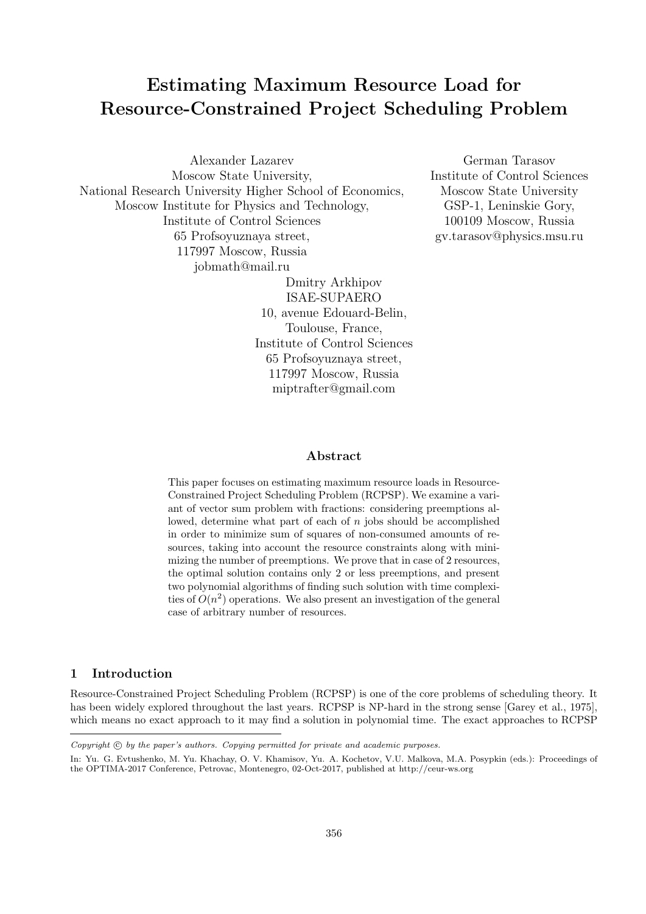# **Estimating Maximum Resource Load for Resource-Constrained Project Scheduling Problem**

Alexander Lazarev Moscow State University, National Research University Higher School of Economics, Moscow Institute for Physics and Technology, Institute of Control Sciences 65 Profsoyuznaya street, 117997 Moscow, Russia jobmath@mail.ru Dmitry Arkhipov

ISAE-SUPAERO 10, avenue Edouard-Belin, Toulouse, France, Institute of Control Sciences 65 Profsoyuznaya street, 117997 Moscow, Russia miptrafter@gmail.com

German Tarasov Institute of Control Sciences Moscow State University GSP-1, Leninskie Gory, 100109 Moscow, Russia gv.tarasov@physics.msu.ru

#### **Abstract**

This paper focuses on estimating maximum resource loads in Resource-Constrained Project Scheduling Problem (RCPSP). We examine a variant of vector sum problem with fractions: considering preemptions allowed, determine what part of each of *n* jobs should be accomplished in order to minimize sum of squares of non-consumed amounts of resources, taking into account the resource constraints along with minimizing the number of preemptions. We prove that in case of 2 resources, the optimal solution contains only 2 or less preemptions, and present two polynomial algorithms of finding such solution with time complexities of  $O(n^2)$  operations. We also present an investigation of the general case of arbitrary number of resources.

# **1 Introduction**

Resource-Constrained Project Scheduling Problem (RCPSP) is one of the core problems of scheduling theory. It has been widely explored throughout the last years. RCPSP is NP-hard in the strong sense [Garey et al., 1975], which means no exact approach to it may find a solution in polynomial time. The exact approaches to RCPSP

*Copyright*  $\odot$  *by the paper's authors. Copying permitted for private and academic purposes.* 

In: Yu. G. Evtushenko, M. Yu. Khachay, O. V. Khamisov, Yu. A. Kochetov, V.U. Malkova, M.A. Posypkin (eds.): Proceedings of the OPTIMA-2017 Conference, Petrovac, Montenegro, 02-Oct-2017, published at http://ceur-ws.org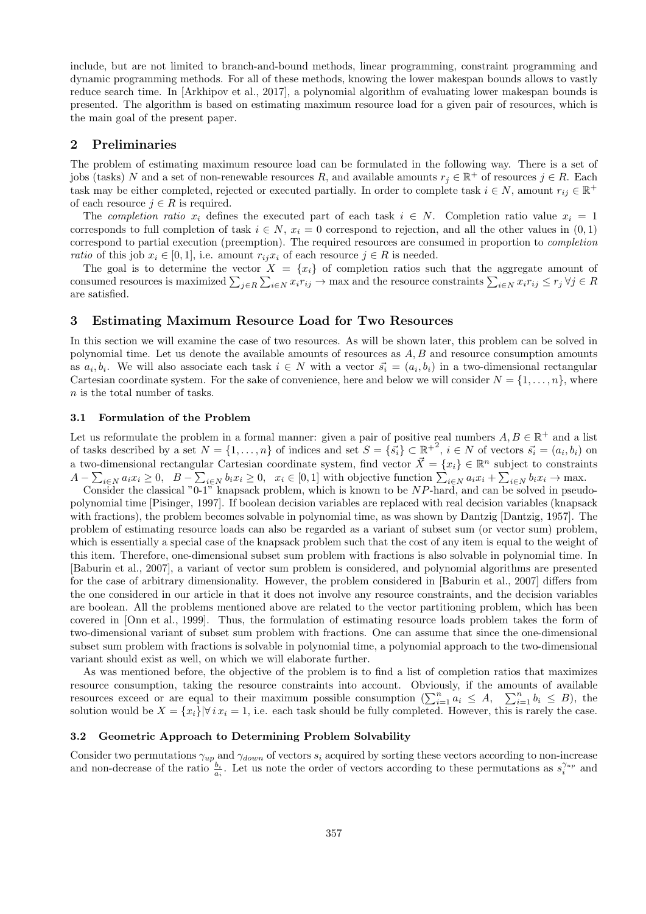include, but are not limited to branch-and-bound methods, linear programming, constraint programming and dynamic programming methods. For all of these methods, knowing the lower makespan bounds allows to vastly reduce search time. In [Arkhipov et al., 2017], a polynomial algorithm of evaluating lower makespan bounds is presented. The algorithm is based on estimating maximum resource load for a given pair of resources, which is the main goal of the present paper.

## **2 Preliminaries**

The problem of estimating maximum resource load can be formulated in the following way. There is a set of jobs (tasks) *N* and a set of non-renewable resources *R*, and available amounts  $r_j \in \mathbb{R}^+$  of resources  $j \in R$ . Each task may be either completed, rejected or executed partially. In order to complete task  $i \in N$ , amount  $r_{ij} \in \mathbb{R}^+$ of each resource  $j \in R$  is required.

The *completion ratio*  $x_i$  defines the executed part of each task  $i \in N$ . Completion ratio value  $x_i = 1$ corresponds to full completion of task  $i \in N$ ,  $x_i = 0$  correspond to rejection, and all the other values in  $(0, 1)$ correspond to partial execution (preemption). The required resources are consumed in proportion to *completion ratio* of this job  $x_i \in [0,1]$ , i.e. amount  $r_{ij}x_i$  of each resource  $j \in R$  is needed.

The goal is to determine the vector  $X = \{x_i\}$  of completion ratios such that the aggregate amount of consumed resources is maximized  $\sum_{j \in R} \sum_{i \in N} x_i r_{ij} \to$  max and the resource constraints  $\sum_{i \in N} x_i r_{ij} \le r_j \forall j \in R$ are satisfied.

# **3 Estimating Maximum Resource Load for Two Resources**

In this section we will examine the case of two resources. As will be shown later, this problem can be solved in polynomial time. Let us denote the available amounts of resources as *A, B* and resource consumption amounts as  $a_i, b_i$ . We will also associate each task  $i \in N$  with a vector  $\vec{s_i} = (a_i, b_i)$  in a two-dimensional rectangular Cartesian coordinate system. For the sake of convenience, here and below we will consider  $N = \{1, \ldots, n\}$ , where *n* is the total number of tasks.

#### **3.1 Formulation of the Problem**

Let us reformulate the problem in a formal manner: given a pair of positive real numbers  $A, B \in \mathbb{R}^+$  and a list of tasks described by a set  $N = \{1, ..., n\}$  of indices and set  $S = \{\vec{s_i}\} \subset \mathbb{R}^{+2}$ ,  $i \in N$  of vectors  $\vec{s_i} = (a_i, b_i)$  on a two-dimensional rectangular Cartesian coordinate system, find vector  $\vec{X} = \{x_i\} \in \mathbb{R}^n$  subject to constraints  $A - \sum_{i \in N} a_i x_i \ge 0$ ,  $B - \sum_{i \in N} b_i x_i \ge 0$ ,  $x_i \in [0,1]$  with objective function  $\sum_{i \in N} a_i x_i + \sum_{i \in N} b_i x_i \to \text{max.}$ <br>Consider the classical "0-1" knapsack problem, which is known to be *NP*-hard, and can be solved in pseud

polynomial time [Pisinger, 1997]. If boolean decision variables are replaced with real decision variables (knapsack with fractions), the problem becomes solvable in polynomial time, as was shown by Dantzig [Dantzig, 1957]. The problem of estimating resource loads can also be regarded as a variant of subset sum (or vector sum) problem, which is essentially a special case of the knapsack problem such that the cost of any item is equal to the weight of this item. Therefore, one-dimensional subset sum problem with fractions is also solvable in polynomial time. In [Baburin et al., 2007], a variant of vector sum problem is considered, and polynomial algorithms are presented for the case of arbitrary dimensionality. However, the problem considered in [Baburin et al., 2007] differs from the one considered in our article in that it does not involve any resource constraints, and the decision variables are boolean. All the problems mentioned above are related to the vector partitioning problem, which has been covered in [Onn et al., 1999]. Thus, the formulation of estimating resource loads problem takes the form of two-dimensional variant of subset sum problem with fractions. One can assume that since the one-dimensional subset sum problem with fractions is solvable in polynomial time, a polynomial approach to the two-dimensional variant should exist as well, on which we will elaborate further.

As was mentioned before, the objective of the problem is to find a list of completion ratios that maximizes resource consumption, taking the resource constraints into account. Obviously, if the amounts of available resources exceed or are equal to their maximum possible consumption  $(\sum_{i=1}^{n} a_i \leq A, \sum_{i=1}^{n} b_i \leq B)$ , the solution would be  $X = \{x_i\}|\forall i \, x_i = 1$ , i.e. each task should be fully completed. However, this is rarely the case.

#### **3.2 Geometric Approach to Determining Problem Solvability**

Consider two permutations  $\gamma_{up}$  and  $\gamma_{down}$  of vectors  $s_i$  acquired by sorting these vectors according to non-increase and non-decrease of the ratio  $\frac{b_i}{a_i}$ . Let us note the order of vectors according to these permutations as  $s_i^{\gamma_{up}}$  and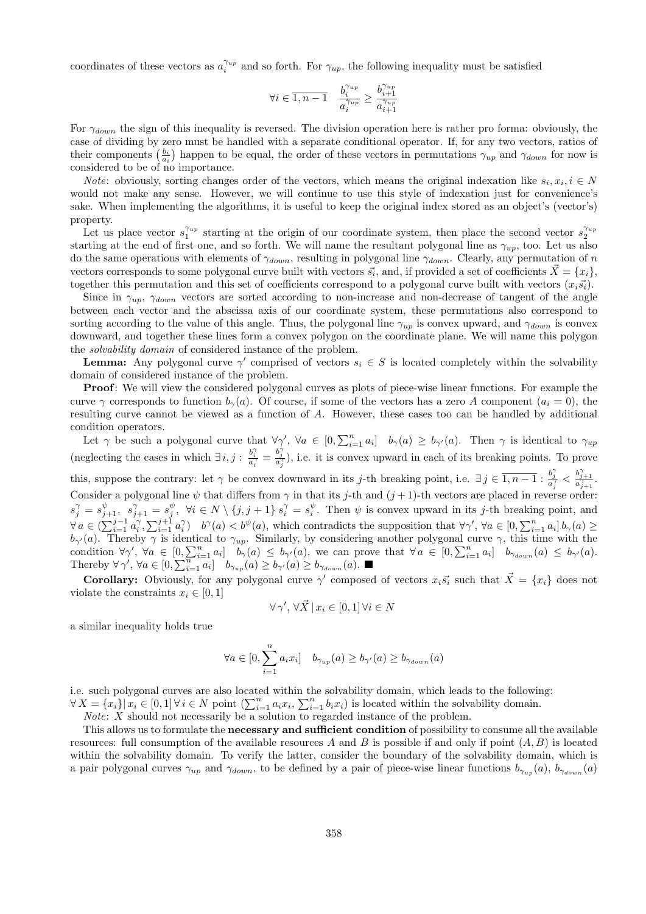coordinates of these vectors as  $a_i^{\gamma_{up}}$  and so forth. For  $\gamma_{up}$ , the following inequality must be satisfied

$$
\forall i \in \overline{1,n-1} \quad \frac{b_i^{\gamma_{up}}}{a_i^{\gamma_{up}}} \geq \frac{b_{i+1}^{\gamma_{up}}}{a_{i+1}^{\gamma_{up}}}
$$

For *γdown* the sign of this inequality is reversed. The division operation here is rather pro forma: obviously, the case of dividing by zero must be handled with a separate conditional operator. If, for any two vectors, ratios of their components  $\left(\frac{b_i}{a_i}\right)$  happen to be equal, the order of these vectors in permutations  $\gamma_{up}$  and  $\gamma_{down}$  for now is considered to be of no importance.

*Note*: obviously, sorting changes order of the vectors, which means the original indexation like  $s_i, x_i, i \in N$ would not make any sense. However, we will continue to use this style of indexation just for convenience's sake. When implementing the algorithms, it is useful to keep the original index stored as an object's (vector's) property.

Let us place vector  $s_1^{\gamma_{up}}$  starting at the origin of our coordinate system, then place the second vector  $s_2^{\gamma_{up}}$ starting at the end of first one, and so forth. We will name the resultant polygonal line as *γup*, too. Let us also do the same operations with elements of *γdown*, resulting in polygonal line *γdown*. Clearly, any permutation of *n* vectors corresponds to some polygonal curve built with vectors  $\vec{s_i}$ , and, if provided a set of coefficients  $\vec{X} = \{x_i\}$ , together this permutation and this set of coefficients correspond to a polygonal curve built with vectors  $(x_i\vec{s}_i)$ .

Since in  $\gamma_{up}$ ,  $\gamma_{down}$  vectors are sorted according to non-increase and non-decrease of tangent of the angle between each vector and the abscissa axis of our coordinate system, these permutations also correspond to sorting according to the value of this angle. Thus, the polygonal line  $\gamma_{up}$  is convex upward, and  $\gamma_{down}$  is convex downward, and together these lines form a convex polygon on the coordinate plane. We will name this polygon the *solvability domain* of considered instance of the problem.

**Lemma:** Any polygonal curve  $\gamma'$  comprised of vectors  $s_i \in S$  is located completely within the solvability domain of considered instance of the problem.

**Proof**: We will view the considered polygonal curves as plots of piece-wise linear functions. For example the curve  $\gamma$  corresponds to function  $b_{\gamma}(a)$ . Of course, if some of the vectors has a zero *A* component ( $a_i = 0$ ), the resulting curve cannot be viewed as a function of *A*. However, these cases too can be handled by additional condition operators.

Let  $\gamma$  be such a polygonal curve that  $\forall \gamma', \forall a \in [0, \sum_{i=1}^n a_i]$   $b_{\gamma}(a) \ge b_{\gamma'}(a)$ . Then  $\gamma$  is identical to  $\gamma_{up}$ (neglecting the cases in which  $\exists i, j : \frac{b_i^{\gamma}}{a_i^{\gamma}} = \frac{b_j^{\gamma}}{a_j^{\gamma}}$ ), i.e. it is convex upward in each of its breaking points. To prove

this, suppose the contrary: let  $\gamma$  be convex downward in its *j*-th breaking point, i.e.  $\exists j \in \overline{1,n-1} : \frac{b_j^{\gamma}}{a_j^{\gamma}} < \frac{b_{j+1}^{\gamma}}{a_{j+1}^{\gamma}}$ . Consider a polygonal line  $\psi$  that differs from  $\gamma$  in that its *j*-th and  $(j+1)$ -th vectors are placed in reverse order:  $s_j^{\gamma} = s_{j+1}^{\psi}, s_{j+1}^{\gamma} = s_j^{\psi}, \forall i \in N \setminus \{j, j+1\}$   $s_i^{\gamma} = s_i^{\psi}$ . Then  $\psi$  is convex upward in its j-th breaking point, and  $\forall a \in \left(\sum_{i=1}^{j-1} a_i^{\gamma}, \sum_{i=1}^{j+1} a_i^{\gamma}\right)$   $b^{\gamma}(a) < b^{\psi}(a)$ , which contradicts the supposition that  $\forall \gamma', \forall a \in [0, \sum_{i=1}^{n} a_i]$   $b_{\gamma}(a) \ge$ *b*<sub>γ</sub><sup>*'*</sup>(*a*). Thereby  $\gamma$  is identical to  $\gamma_{up}$ . Similarly, by considering another polygonal curve  $\gamma$ , this time with the condition  $\forall \gamma', \forall a \in [0, \sum_{i=1}^n a_i]$   $b_{\gamma}(a) \leq b_{\gamma}(a)$ , we can prove that  $\forall a \in [0, \sum_{i=1}^n a_i]$   $b_{\gamma_{down}}(a) \leq b_{\gamma}(a)$ . Thereby  $\forall \gamma', \forall a \in [0, \sum_{i=1}^{n} a_i] \quad b_{\gamma_{up}}(a) \geq b_{\gamma'}(a) \geq b_{\gamma_{down}}(a).$ 

**Corollary:** Obviously, for any polygonal curve  $\gamma'$  composed of vectors  $x_i\vec{s}_i$  such that  $\vec{X} = \{x_i\}$  does not violate the constraints  $x_i \in [0, 1]$ 

$$
\forall \gamma', \, \forall \vec{X} \, \vert \, x_i \in [0,1] \, \forall i \in N
$$

a similar inequality holds true

$$
\forall a \in [0, \sum_{i=1}^{n} a_i x_i] \quad b_{\gamma_{up}}(a) \ge b_{\gamma'}(a) \ge b_{\gamma_{down}}(a)
$$

i.e. such polygonal curves are also located within the solvability domain, which leads to the following:  $\forall X = \{x_i\} | x_i \in [0,1] \forall i \in N$  point  $\left(\sum_{i=1}^n a_i x_i, \sum_{i=1}^n b_i x_i\right)$  is located within the solvability domain.

*Note*: *X* should not necessarily be a solution to regarded instance of the problem.

This allows us to formulate the **necessary and sufficient condition** of possibility to consume all the available resources: full consumption of the available resources *A* and *B* is possible if and only if point (*A, B*) is located within the solvability domain. To verify the latter, consider the boundary of the solvability domain, which is a pair polygonal curves  $\gamma_{up}$  and  $\gamma_{down}$ , to be defined by a pair of piece-wise linear functions  $b_{\gamma_{up}}(a)$ ,  $b_{\gamma_{down}}(a)$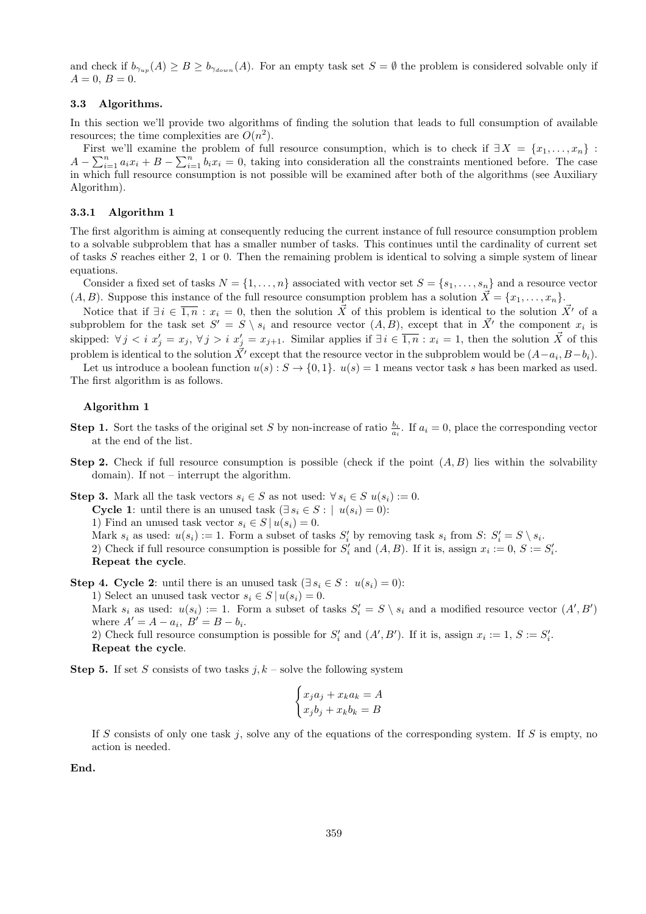and check if  $b_{\gamma_{up}}(A) \geq B \geq b_{\gamma_{down}}(A)$ . For an empty task set  $S = \emptyset$  the problem is considered solvable only if  $A = 0, B = 0.$ 

## **3.3 Algorithms.**

In this section we'll provide two algorithms of finding the solution that leads to full consumption of available resources; the time complexities are  $O(n^2)$ .

First we'll examine the problem of full resource consumption, which is to check if  $\exists X = \{x_1, \ldots, x_n\}$ :  $A - \sum_{i=1}^{n} a_i x_i + B - \sum_{i=1}^{n} b_i x_i = 0$ , taking into consideration all the constraints mentioned before. The case in which full resource consumption is not possible will be examined after both of the algorithms (see Auxiliary Algorithm).

#### **3.3.1 Algorithm 1**

The first algorithm is aiming at consequently reducing the current instance of full resource consumption problem to a solvable subproblem that has a smaller number of tasks. This continues until the cardinality of current set of tasks *S* reaches either 2, 1 or 0. Then the remaining problem is identical to solving a simple system of linear equations.

Consider a fixed set of tasks  $N = \{1, \ldots, n\}$  associated with vector set  $S = \{s_1, \ldots, s_n\}$  and a resource vector  $(A, B)$ . Suppose this instance of the full resource consumption problem has a solution  $\vec{X} = \{x_1, \ldots, x_n\}$ .

Notice that if  $\exists i \in \overline{1,n} : x_i = 0$ , then the solution  $\vec{X}$  of this problem is identical to the solution  $\vec{X}'$  of a subproblem for the task set  $S' = S \setminus s_i$  and resource vector  $(A, B)$ , except that in  $\vec{X'}$  the component  $x_i$  is skipped:  $\forall j \leq i$   $x'_j = x_j$ ,  $\forall j > i$   $x'_j = x_{j+1}$ . Similar applies if  $\exists i \in \overline{1,n} : x_i = 1$ , then the solution  $\vec{X}$  of this problem is identical to the solution  $\vec{X'}$  except that the resource vector in the subproblem would be  $(A-a_i, B-b_i)$ .

Let us introduce a boolean function  $u(s): S \to \{0,1\}$ .  $u(s) = 1$  means vector task *s* has been marked as used. The first algorithm is as follows.

#### **Algorithm 1**

- **Step 1.** Sort the tasks of the original set *S* by non-increase of ratio  $\frac{b_i}{a_i}$ . If  $a_i = 0$ , place the corresponding vector at the end of the list.
- **Step 2.** Check if full resource consumption is possible (check if the point  $(A, B)$ ) lies within the solvability domain). If not – interrupt the algorithm.

**Step 3.** Mark all the task vectors  $s_i \in S$  as not used:  $\forall s_i \in S$   $u(s_i) := 0$ . **Cycle 1**: until there is an unused task  $(\exists s_i \in S : | u(s_i) = 0)$ : 1) Find an unused task vector  $s_i \in S \mid u(s_i) = 0$ . Mark  $s_i$  as used:  $u(s_i) := 1$ . Form a subset of tasks  $S'_i$  by removing task  $s_i$  from  $S: S'_i = S \setminus s_i$ . 2) Check if full resource consumption is possible for  $S'_i$  and  $(A, B)$ . If it is, assign  $x_i := 0, S := S'_i$ . **Repeat the cycle**.

**Step 4. Cycle 2**: until there is an unused task  $(\exists s_i \in S : u(s_i) = 0)$ : 1) Select an unused task vector  $s_i \in S \mid u(s_i) = 0$ . Mark  $s_i$  as used:  $u(s_i) := 1$ . Form a subset of tasks  $S'_i = S \setminus s_i$  and a modified resource vector  $(A', B')$ where  $A' = A - a_i$ ,  $B' = B - b_i$ . 2) Check full resource consumption is possible for  $S'_{i}$  and  $(A', B')$ . If it is, assign  $x_i := 1, S := S'_{i}$ . **Repeat the cycle**.

**Step 5.** If set *S* consists of two tasks  $j, k$  – solve the following system

$$
\begin{cases} x_j a_j + x_k a_k = A \\ x_j b_j + x_k b_k = B \end{cases}
$$

If *S* consists of only one task *j*, solve any of the equations of the corresponding system. If *S* is empty, no action is needed.

**End.**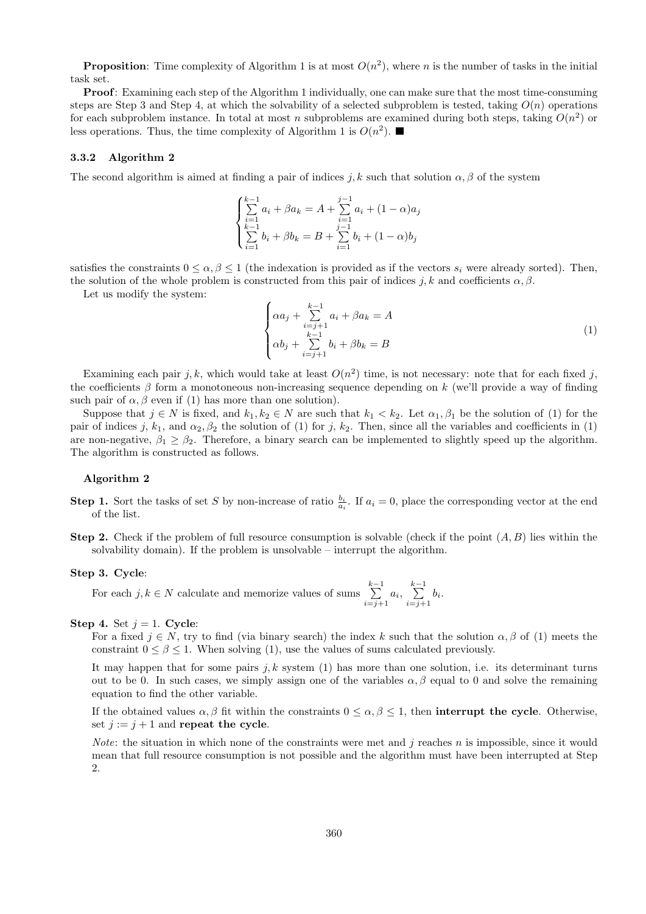**Proposition**: Time complexity of Algorithm 1 is at most  $O(n^2)$ , where *n* is the number of tasks in the initial task set.

**Proof**: Examining each step of the Algorithm 1 individually, one can make sure that the most time-consuming steps are Step 3 and Step 4, at which the solvability of a selected subproblem is tested, taking  $O(n)$  operations for each subproblem instance. In total at most *n* subproblems are examined during both steps, taking  $O(n^2)$  or less operations. Thus, the time complexity of Algorithm 1 is  $O(n^2)$ .

#### **3.3.2 Algorithm 2**

The second algorithm is aimed at finding a pair of indices *j, k* such that solution  $\alpha$ ,  $\beta$  of the system

$$
\begin{cases}\n\sum_{i=1}^{k-1} a_i + \beta a_k = A + \sum_{i=1}^{j-1} a_i + (1 - \alpha)a_j \\
\sum_{i=1}^{k-1} b_i + \beta b_k = B + \sum_{i=1}^{j-1} b_i + (1 - \alpha)b_j\n\end{cases}
$$

satisfies the constraints  $0 \le \alpha, \beta \le 1$  (the indexation is provided as if the vectors  $s_i$  were already sorted). Then, the solution of the whole problem is constructed from this pair of indices *j*, k and coefficients  $\alpha$ ,  $\beta$ .

Let us modify the system:

$$
\begin{cases}\n\alpha a_j + \sum_{\substack{i=j+1 \ i>j+1}}^{k-1} a_i + \beta a_k = A \\
\alpha b_j + \sum_{i=j+1}^{k-1} b_i + \beta b_k = B\n\end{cases}
$$
\n(1)

Examining each pair  $j, k$ , which would take at least  $O(n^2)$  time, is not necessary: note that for each fixed  $j$ , the coefficients *β* form a monotoneous non-increasing sequence depending on *k* (we'll provide a way of finding such pair of  $\alpha$ ,  $\beta$  even if (1) has more than one solution).

Suppose that  $j \in N$  is fixed, and  $k_1, k_2 \in N$  are such that  $k_1 < k_2$ . Let  $\alpha_1, \beta_1$  be the solution of (1) for the pair of indices *j*,  $k_1$ , and  $\alpha_2$ ,  $\beta_2$  the solution of (1) for *j*,  $k_2$ . Then, since all the variables and coefficients in (1) are non-negative,  $\beta_1 \geq \beta_2$ . Therefore, a binary search can be implemented to slightly speed up the algorithm. The algorithm is constructed as follows.

#### **Algorithm 2**

- **Step 1.** Sort the tasks of set *S* by non-increase of ratio  $\frac{b_i}{a_i}$ . If  $a_i = 0$ , place the corresponding vector at the end of the list.
- **Step 2.** Check if the problem of full resource consumption is solvable (check if the point (*A, B*) lies within the solvability domain). If the problem is unsolvable – interrupt the algorithm.

#### **Step 3. Cycle**:

For each  $j, k \in N$  calculate and memorize values of sums  $\sum_{k=1}^{k-1}$  $\sum_{i=j+1}^{k-1} a_i, \sum_{i=j+1}^{k-1}$  $\sum_{i=j+1} b_i$ .

#### **Step 4.** Set  $j = 1$ . **Cycle**:

For a fixed  $j \in N$ , try to find (via binary search) the index k such that the solution  $\alpha, \beta$  of (1) meets the constraint  $0 \leq \beta \leq 1$ . When solving (1), use the values of sums calculated previously.

It may happen that for some pairs  $j, k$  system  $(1)$  has more than one solution, i.e. its determinant turns out to be 0. In such cases, we simply assign one of the variables  $\alpha, \beta$  equal to 0 and solve the remaining equation to find the other variable.

If the obtained values  $\alpha, \beta$  fit within the constraints  $0 \leq \alpha, \beta \leq 1$ , then **interrupt the cycle**. Otherwise, set  $j := j + 1$  and **repeat the cycle**.

*Note*: the situation in which none of the constraints were met and *j* reaches *n* is impossible, since it would mean that full resource consumption is not possible and the algorithm must have been interrupted at Step  $\mathcal{D}$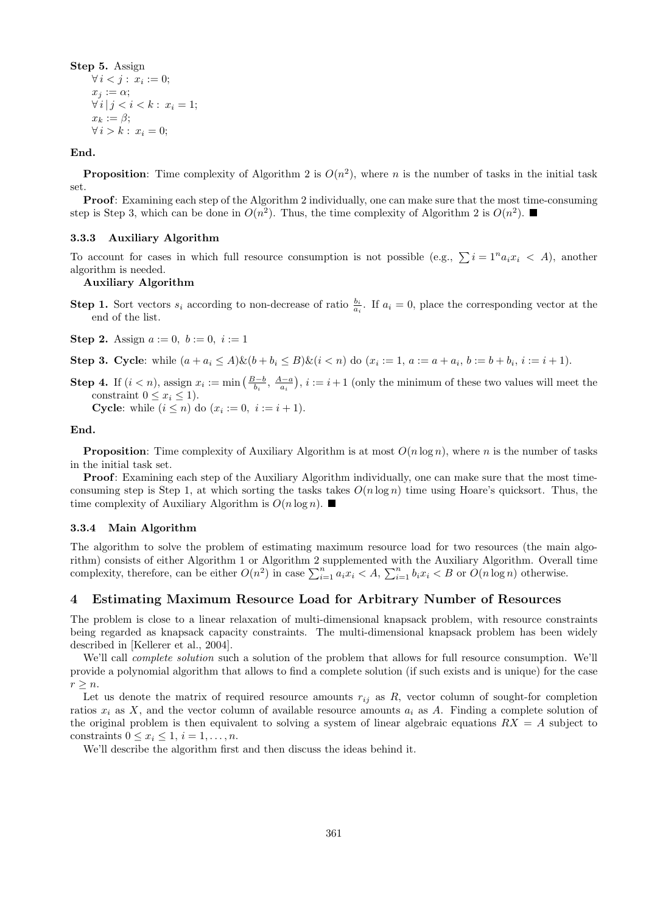**Step 5.** Assign  $∀ i < j: x_i := 0;$  $x_j := \alpha;$  $\forall i | j < i < k : x_i = 1;$  $x_k := \beta$ ; *∀ i* > *k* :  $x_i = 0$ ;

**End.**

**Proposition**: Time complexity of Algorithm 2 is  $O(n^2)$ , where *n* is the number of tasks in the initial task set.

**Proof**: Examining each step of the Algorithm 2 individually, one can make sure that the most time-consuming step is Step 3, which can be done in  $O(n^2)$ . Thus, the time complexity of Algorithm 2 is  $O(n^2)$ .

#### **3.3.3 Auxiliary Algorithm**

To account for cases in which full resource consumption is not possible (e.g.,  $\sum i = 1^n a_i x_i \leq A$ ), another algorithm is needed.

#### **Auxiliary Algorithm**

**Step 1.** Sort vectors  $s_i$  according to non-decrease of ratio  $\frac{b_i}{a_i}$ . If  $a_i = 0$ , place the corresponding vector at the end of the list.

**Step 2.** Assign  $a := 0, b := 0, i := 1$ 

**Step 3. Cycle**: while  $(a + a_i \leq A) \& (b + b_i \leq B) \& (i < n)$  do  $(x_i := 1, a := a + a_i, b := b + b_i, i := i + 1)$ .

**Step 4.** If  $(i < n)$ , assign  $x_i := \min\left(\frac{B-b}{b_i}, \frac{A-a}{a_i}\right), i := i+1$  (only the minimum of these two values will meet the constraint  $0 \leq x_i \leq 1$ .

**Cycle**: while  $(i \leq n)$  do  $(x_i := 0, i := i + 1)$ .

**End.**

**Proposition**: Time complexity of Auxiliary Algorithm is at most  $O(n \log n)$ , where *n* is the number of tasks in the initial task set.

**Proof**: Examining each step of the Auxiliary Algorithm individually, one can make sure that the most timeconsuming step is Step 1, at which sorting the tasks takes  $O(n \log n)$  time using Hoare's quicksort. Thus, the time complexity of Auxiliary Algorithm is  $O(n \log n)$ .

#### **3.3.4 Main Algorithm**

The algorithm to solve the problem of estimating maximum resource load for two resources (the main algorithm) consists of either Algorithm 1 or Algorithm 2 supplemented with the Auxiliary Algorithm. Overall time complexity, therefore, can be either  $O(n^2)$  in case  $\sum_{i=1}^n a_i x_i < A$ ,  $\sum_{i=1}^n b_i x_i < B$  or  $O(n \log n)$  otherwise.

# **4 Estimating Maximum Resource Load for Arbitrary Number of Resources**

The problem is close to a linear relaxation of multi-dimensional knapsack problem, with resource constraints being regarded as knapsack capacity constraints. The multi-dimensional knapsack problem has been widely described in [Kellerer et al., 2004].

We'll call *complete solution* such a solution of the problem that allows for full resource consumption. We'll provide a polynomial algorithm that allows to find a complete solution (if such exists and is unique) for the case  $r \geq n$ .

Let us denote the matrix of required resource amounts  $r_{ij}$  as  $R$ , vector column of sought-for completion ratios  $x_i$  as  $X$ , and the vector column of available resource amounts  $a_i$  as  $A$ . Finding a complete solution of the original problem is then equivalent to solving a system of linear algebraic equations *RX* = *A* subject to constraints  $0 \leq x_i \leq 1, i = 1, \ldots, n$ .

We'll describe the algorithm first and then discuss the ideas behind it.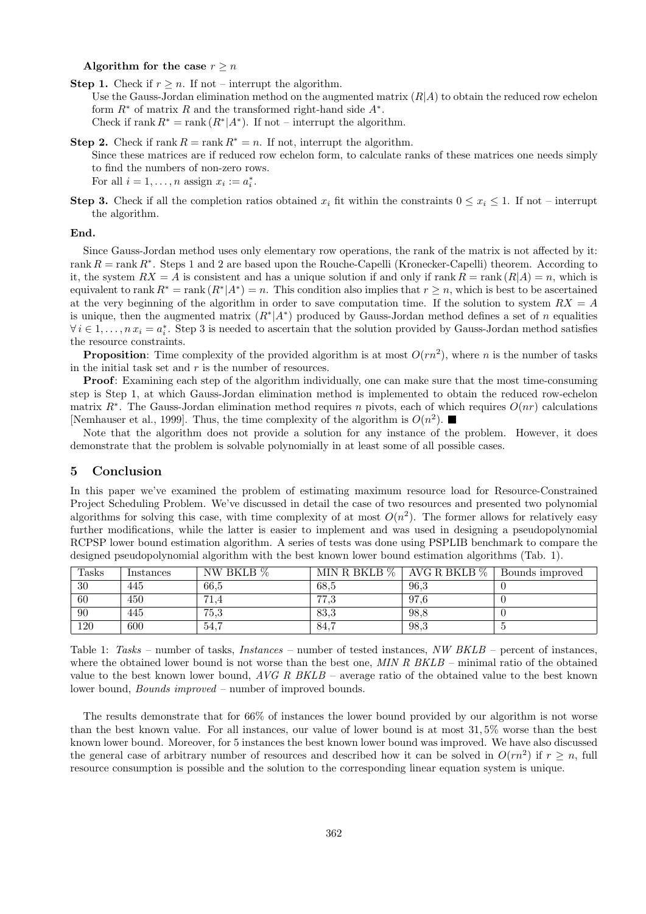#### Algorithm for the case  $r \geq n$

**Step 1.** Check if  $r \geq n$ . If not – interrupt the algorithm. Use the Gauss-Jordan elimination method on the augmented matrix (*R|A*) to obtain the reduced row echelon form *R<sup>∗</sup>* of matrix *R* and the transformed right-hand side *A<sup>∗</sup>* . Check if rank  $R^* = \text{rank}(R^*|A^*)$ . If not – interrupt the algorithm.

- **Step 2.** Check if rank  $R = \text{rank } R^* = n$ . If not, interrupt the algorithm. Since these matrices are if reduced row echelon form, to calculate ranks of these matrices one needs simply to find the numbers of non-zero rows. For all  $i = 1, \ldots, n$  assign  $x_i := a_i^*$ .
- **Step 3.** Check if all the completion ratios obtained  $x_i$  fit within the constraints  $0 \le x_i \le 1$ . If not interrupt the algorithm.

#### **End.**

Since Gauss-Jordan method uses only elementary row operations, the rank of the matrix is not affected by it: rank *R* = rank *R<sup>∗</sup>* . Steps 1 and 2 are based upon the Rouche-Capelli (Kronecker-Capelli) theorem. According to it, the system  $RX = A$  is consistent and has a unique solution if and only if rank  $R = \text{rank}(R|A) = n$ , which is equivalent to rank  $R^* = \text{rank}(R^* | A^*) = n$ . This condition also implies that  $r \geq n$ , which is best to be ascertained at the very beginning of the algorithm in order to save computation time. If the solution to system *RX* = *A* is unique, then the augmented matrix  $(R^*|A^*)$  produced by Gauss-Jordan method defines a set of *n* equalities *∀i*  $\in$  1, ..., *n*  $x_i = a_i^*$ . Step 3 is needed to ascertain that the solution provided by Gauss-Jordan method satisfies the resource constraints.

**Proposition**: Time complexity of the provided algorithm is at most  $O(rn^2)$ , where *n* is the number of tasks in the initial task set and *r* is the number of resources.

**Proof**: Examining each step of the algorithm individually, one can make sure that the most time-consuming step is Step 1, at which Gauss-Jordan elimination method is implemented to obtain the reduced row-echelon matrix *R<sup>∗</sup>* . The Gauss-Jordan elimination method requires *n* pivots, each of which requires *O*(*nr*) calculations [Nemhauser et al., 1999]. Thus, the time complexity of the algorithm is  $O(n^2)$ .

Note that the algorithm does not provide a solution for any instance of the problem. However, it does demonstrate that the problem is solvable polynomially in at least some of all possible cases.

#### **5 Conclusion**

In this paper we've examined the problem of estimating maximum resource load for Resource-Constrained Project Scheduling Problem. We've discussed in detail the case of two resources and presented two polynomial algorithms for solving this case, with time complexity of at most  $O(n^2)$ . The former allows for relatively easy further modifications, while the latter is easier to implement and was used in designing a pseudopolynomial RCPSP lower bound estimation algorithm. A series of tests was done using PSPLIB benchmark to compare the designed pseudopolynomial algorithm with the best known lower bound estimation algorithms (Tab. 1).

| <b>Tasks</b> | Instances | NW BKLB % | MIN R BKLB $\%$ | AVG R BKLB $\%$ | Bounds improved |
|--------------|-----------|-----------|-----------------|-----------------|-----------------|
| 30           | 445       | 66.5      | 68.5            | 96.3            |                 |
| 60           | 450       | (1.4)     | 777<br>ن. ا     | 97.6            |                 |
| 90           | 445       | 75,3      | 83,3            | 98.8            |                 |
| 120          | 600       | 54,7      | 84,7            | 98,3            |                 |

Table 1: *Tasks* – number of tasks, *Instances* – number of tested instances, *NW BKLB* – percent of instances, where the obtained lower bound is not worse than the best one, *MIN R BKLB* – minimal ratio of the obtained value to the best known lower bound, *AVG R BKLB* – average ratio of the obtained value to the best known lower bound, *Bounds improved* – number of improved bounds.

The results demonstrate that for 66% of instances the lower bound provided by our algorithm is not worse than the best known value. For all instances, our value of lower bound is at most 31*,* 5% worse than the best known lower bound. Moreover, for 5 instances the best known lower bound was improved. We have also discussed the general case of arbitrary number of resources and described how it can be solved in  $O(rn^2)$  if  $r \geq n$ , full resource consumption is possible and the solution to the corresponding linear equation system is unique.